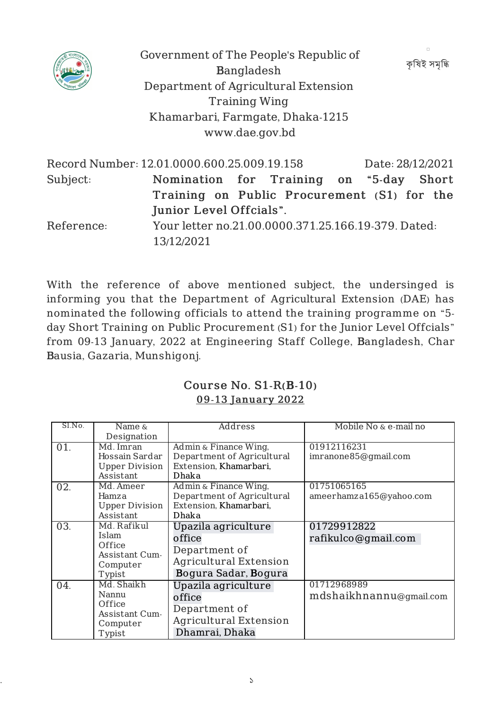

Government of The People's Republic of Bangladesh Department of Agricultural Extension Training Wing Khamarbari, Farmgate, Dhaka-1215 www.dae.gov.bd

কষিই সমদ্ধি

| Junior Level Offcials".                             |  |  |                                             |  |                                                                                                            |  |
|-----------------------------------------------------|--|--|---------------------------------------------|--|------------------------------------------------------------------------------------------------------------|--|
| Your letter no.21.00.0000.371.25.166.19-379. Dated: |  |  |                                             |  |                                                                                                            |  |
| 13/12/2021                                          |  |  |                                             |  |                                                                                                            |  |
|                                                     |  |  | Record Number: 12.01.0000.600.25.009.19.158 |  | Date: 28/12/2021<br>Nomination for Training on "5-day Short<br>Training on Public Procurement (S1) for the |  |

With the reference of above mentioned subject, the undersinged is informing you that the Department of Agricultural Extension (DAE) has nominated the following officials to attend the training programme on "5 day Short Training on Public Procurement (S1) for the Junior Level Offcials" from 09-13 January, 2022 at Engineering Staff College, Bangladesh, Char Bausia, Gazaria, Munshigonj.

## Course No. S1-R(B-10) 09-13 January 2022

| Sl.No. | Name $\&$                                                              | Address                                                                                                 | Mobile No & e-mail no                  |
|--------|------------------------------------------------------------------------|---------------------------------------------------------------------------------------------------------|----------------------------------------|
|        | Designation                                                            |                                                                                                         |                                        |
| 01.    | Md. Imran<br>Hossain Sardar<br><b>Upper Division</b><br>Assistant      | Admin & Finance Wing,<br>Department of Agricultural<br>Extension, Khamarbari,<br>Dhaka                  | 01912116231<br>imranone85@gmail.com    |
| 02.    | Md. Ameer<br>Hamza<br><b>Upper Division</b><br>Assistant               | Admin & Finance Wing,<br>Department of Agricultural<br>Extension, Khamarbari,<br>Dhaka                  | 01751065165<br>ameerhamza165@yahoo.com |
| 03.    | Md. Rafikul<br>Islam<br>Office<br>Assistant Cum-<br>Computer<br>Typist | Upazila agriculture<br>office<br>Department of<br><b>Agricultural Extension</b><br>Bogura Sadar, Bogura | 01729912822<br>rafikulco@gmail.com     |
| 04.    | Md. Shaikh<br>Nannu<br>Office<br>Assistant Cum-<br>Computer<br>Typist  | Upazila agriculture<br>office<br>Department of<br><b>Agricultural Extension</b><br>Dhamrai, Dhaka       | 01712968989<br>mdshaikhnannu@gmail.com |